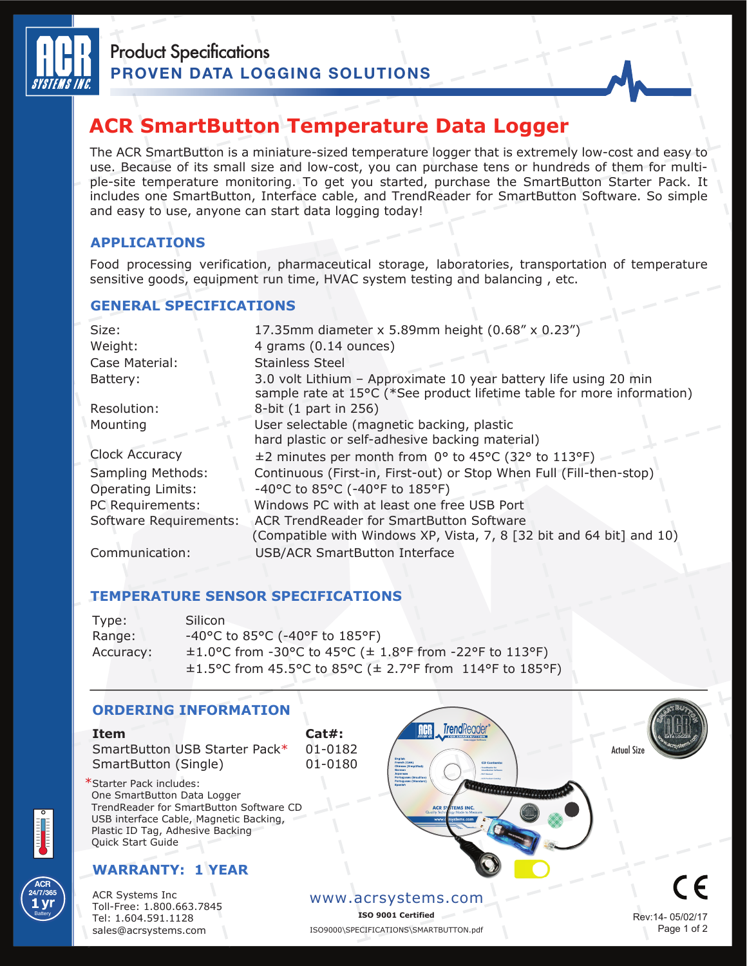

# **ACR SmartButton Temperature Data Logger**

The ACR SmartButton is a miniature-sized temperature logger that is extremely low-cost and easy to use. Because of its small size and low-cost, you can purchase tens or hundreds of them for multiple-site temperature monitoring. To get you started, purchase the SmartButton Starter Pack. It includes one SmartButton, Interface cable, and TrendReader for SmartButton Software. So simple and easy to use, anyone can start data logging today!

## **APPLICATIONS**

Food processing verification, pharmaceutical storage, laboratories, transportation of temperature sensitive goods, equipment run time, HVAC system testing and balancing , etc.

### **GENERAL SPECIFICATIONS**

| Size:                    | 17.35mm diameter x 5.89mm height (0.68" x 0.23")                                                                                           |
|--------------------------|--------------------------------------------------------------------------------------------------------------------------------------------|
| Weight:                  | 4 grams (0.14 ounces)                                                                                                                      |
| Case Material:           | <b>Stainless Steel</b>                                                                                                                     |
| Battery:                 | 3.0 volt Lithium - Approximate 10 year battery life using 20 min<br>sample rate at 15°C (*See product lifetime table for more information) |
| Resolution:              | 8-bit (1 part in 256)                                                                                                                      |
| Mounting                 | User selectable (magnetic backing, plastic                                                                                                 |
|                          | hard plastic or self-adhesive backing material)                                                                                            |
| Clock Accuracy           | ±2 minutes per month from 0° to 45°C (32° to 113°F)                                                                                        |
| Sampling Methods:        | Continuous (First-in, First-out) or Stop When Full (Fill-then-stop)                                                                        |
| <b>Operating Limits:</b> | -40°C to 85°C (-40°F to 185°F)                                                                                                             |
| PC Requirements:         | Windows PC with at least one free USB Port                                                                                                 |
| Software Requirements:   | ACR TrendReader for SmartButton Software                                                                                                   |
|                          | (Compatible with Windows XP, Vista, 7, 8 [32 bit and 64 bit] and 10)                                                                       |
| Communication:           | <b>USB/ACR SmartButton Interface</b>                                                                                                       |

#### **TEMPERATURE SENSOR SPECIFICATIONS**

| Type:     | <b>Silicon</b>                                                            |
|-----------|---------------------------------------------------------------------------|
| Range:    | $-40^{\circ}$ C to 85 $^{\circ}$ C ( $-40^{\circ}$ F to 185 $^{\circ}$ F) |
| Accuracy: | $\pm 1.0$ °C from -30 °C to 45 °C ( $\pm$ 1.8 °F from -22 °F to 113 °F)   |
|           | $\pm$ 1.5°C from 45.5°C to 85°C ( $\pm$ 2.7°F from 114°F to 185°F)        |





**ACR**

**Battery**